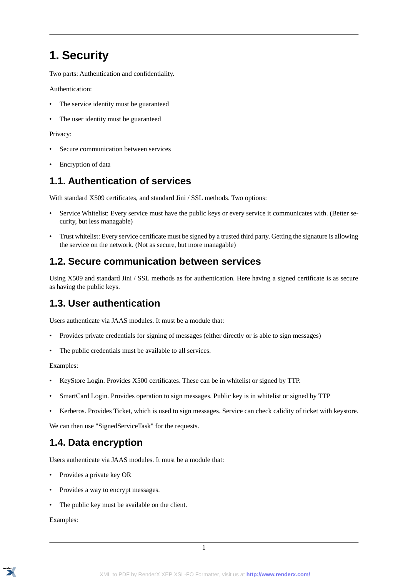# **1. Security**

Two parts: Authentication and confidentiality.

Authentication:

- The service identity must be guaranteed
- The user identity must be guaranteed

Privacy:

- Secure communication between services
- Encryption of data

## **1.1. Authentication of services**

With standard X509 certificates, and standard Jini / SSL methods. Two options:

- Service Whitelist: Every service must have the public keys or every service it communicates with. (Better security, but less managable)
- Trust whitelist: Every service certificate must be signed by a trusted third party. Getting the signature is allowing the service on the network. (Not as secure, but more managable)

#### **1.2. Secure communication between services**

Using X509 and standard Jini / SSL methods as for authentication. Here having a signed certificate is as secure as having the public keys.

## **1.3. User authentication**

Users authenticate via JAAS modules. It must be a module that:

- Provides private credentials for signing of messages (either directly or is able to sign messages)
- The public credentials must be available to all services.

Examples:

- KeyStore Login. Provides X500 certificates. These can be in whitelist or signed by TTP.
- SmartCard Login. Provides operation to sign messages. Public key is in whitelist or signed by TTP
- Kerberos. Provides Ticket, which is used to sign messages. Service can check calidity of ticket with keystore.

We can then use "SignedServiceTask" for the requests.

# **1.4. Data encryption**

Users authenticate via JAAS modules. It must be a module that:

- Provides a private key OR
- Provides a way to encrypt messages.
- The public key must be available on the client.

Examples: